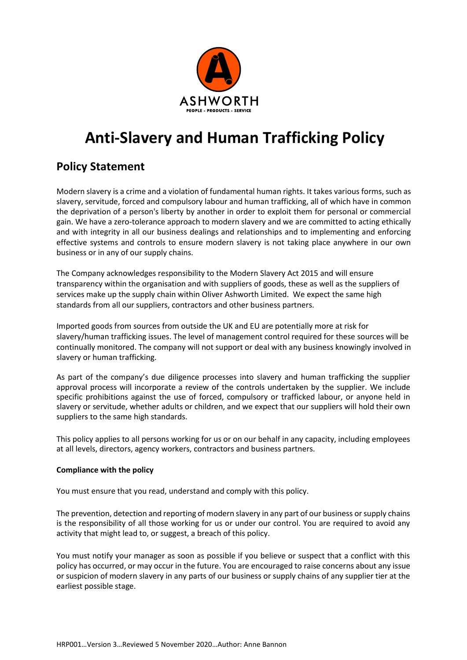

# **Anti-Slavery and Human Trafficking Policy**

## **Policy Statement**

Modern slavery is a crime and a violation of fundamental human rights. It takes various forms, such as slavery, servitude, forced and compulsory labour and human trafficking, all of which have in common the deprivation of a person's liberty by another in order to exploit them for personal or commercial gain. We have a zero-tolerance approach to modern slavery and we are committed to acting ethically and with integrity in all our business dealings and relationships and to implementing and enforcing effective systems and controls to ensure modern slavery is not taking place anywhere in our own business or in any of our supply chains.

The Company acknowledges responsibility to the Modern Slavery Act 2015 and will ensure transparency within the organisation and with suppliers of goods, these as well as the suppliers of services make up the supply chain within Oliver Ashworth Limited. We expect the same high standards from all our suppliers, contractors and other business partners.

Imported goods from sources from outside the UK and EU are potentially more at risk for slavery/human trafficking issues. The level of management control required for these sources will be continually monitored. The company will not support or deal with any business knowingly involved in slavery or human trafficking.

As part of the company's due diligence processes into slavery and human trafficking the supplier approval process will incorporate a review of the controls undertaken by the supplier. We include specific prohibitions against the use of forced, compulsory or trafficked labour, or anyone held in slavery or servitude, whether adults or children, and we expect that our suppliers will hold their own suppliers to the same high standards.

This policy applies to all persons working for us or on our behalf in any capacity, including employees at all levels, directors, agency workers, contractors and business partners.

### **Compliance with the policy**

You must ensure that you read, understand and comply with this policy.

The prevention, detection and reporting of modern slavery in any part of our business or supply chains is the responsibility of all those working for us or under our control. You are required to avoid any activity that might lead to, or suggest, a breach of this policy.

You must notify your manager as soon as possible if you believe or suspect that a conflict with this policy has occurred, or may occur in the future. You are encouraged to raise concerns about any issue or suspicion of modern slavery in any parts of our business or supply chains of any supplier tier at the earliest possible stage.